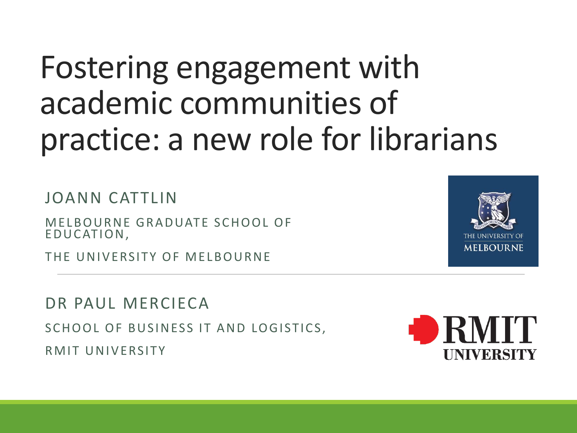### Fostering engagement with academic communities of practice: a new role for librarians

JOANN CATTLIN

MELBOURNE GRADUATE SCHOOL OF E DU CATION,

THE UNIVERSITY OF MELBOURNE

DR PAUL MERCIFCA

SCHOOL OF BUSINESS IT AND LOGISTICS,

RMIT UNIVERSITY



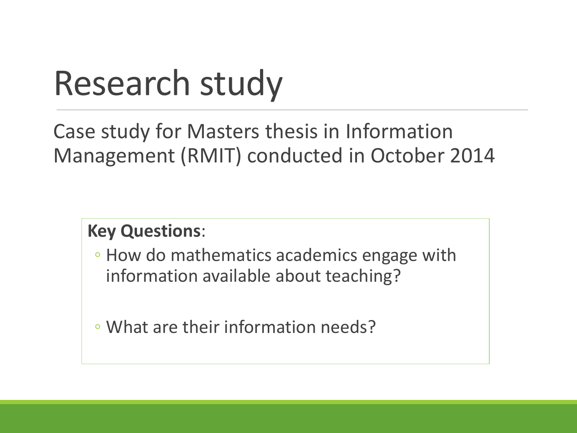## Research study

Case study for Masters thesis in Information Management (RMIT) conducted in October 2014

#### **Key Questions**:

◦ How do mathematics academics engage with information available about teaching?

◦ What are their information needs?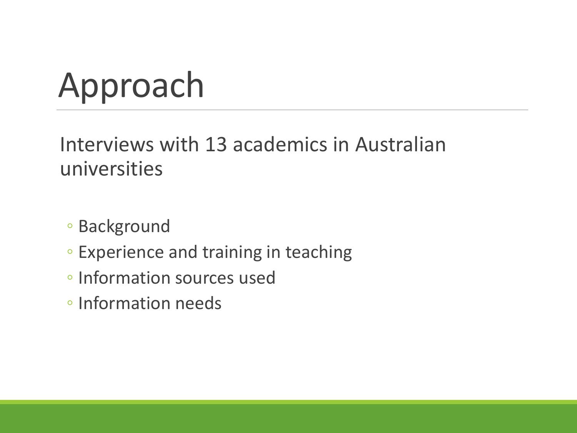# Approach

Interviews with 13 academics in Australian universities

- Background
- Experience and training in teaching
- Information sources used
- Information needs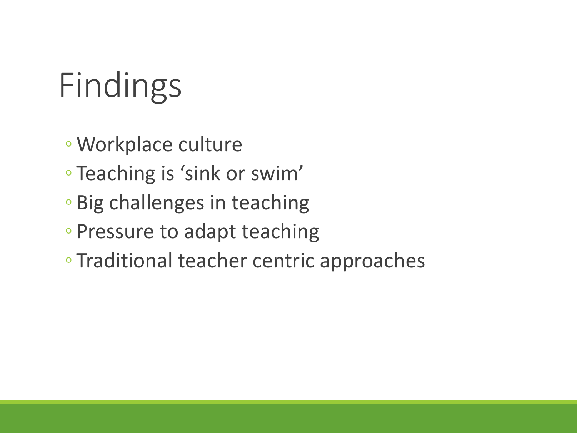# Findings

- Workplace culture
- Teaching is 'sink or swim'
- Big challenges in teaching
- Pressure to adapt teaching
- Traditional teacher centric approaches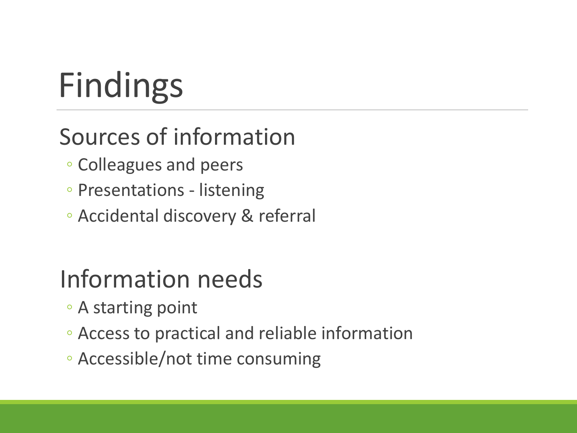# Findings

#### Sources of information

- Colleagues and peers
- Presentations listening
- Accidental discovery & referral

#### Information needs

- A starting point
- Access to practical and reliable information
- Accessible/not time consuming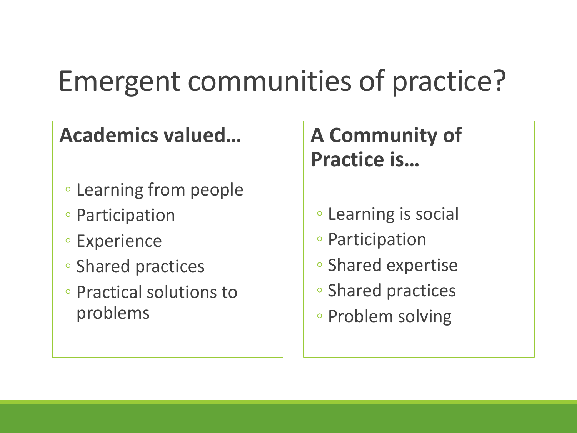### Emergent communities of practice?

#### **Academics valued…**

- Learning from people
- Participation
- Experience
- Shared practices
- Practical solutions to problems

#### **A Community of Practice is…**

- Learning is social
- Participation
- Shared expertise
- Shared practices
- Problem solving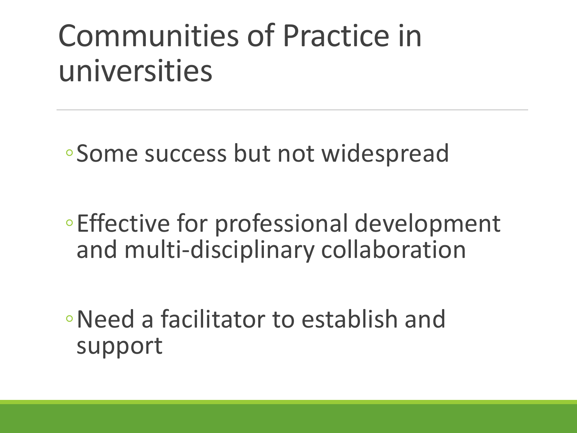### Communities of Practice in universities

◦Some success but not widespread

◦Effective for professional development and multi-disciplinary collaboration

◦Need a facilitator to establish and support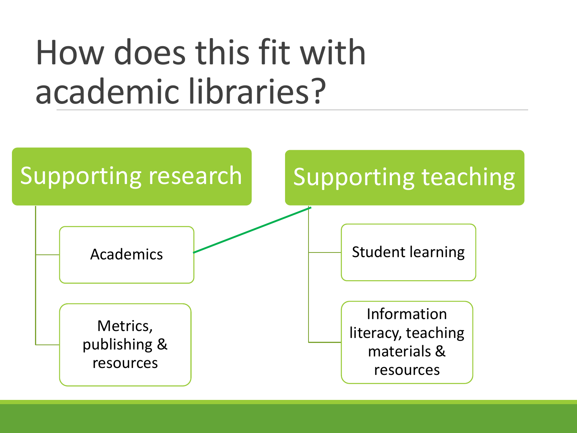## How does this fit with academic libraries?

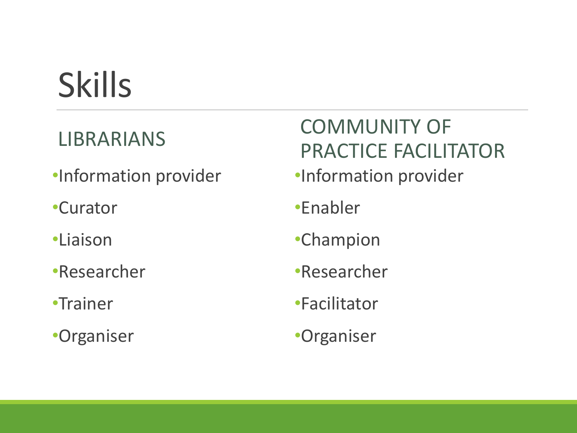# Skills

#### LIBRARIANS

- •Information provider
- •Curator
- •Liaison
- •Researcher
- •Trainer
- •Organiser

#### COMMUNITY OF PRACTICE FACILITATOR

- •Information provider
- •Enabler
- •Champion
- •Researcher
- •Facilitator
- •Organiser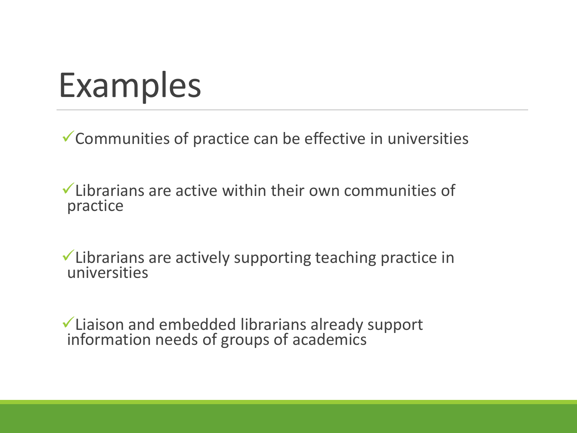## Examples

Communities of practice can be effective in universities

 $\checkmark$  Librarians are active within their own communities of practice

Librarians are actively supporting teaching practice in universities

Liaison and embedded librarians already support information needs of groups of academics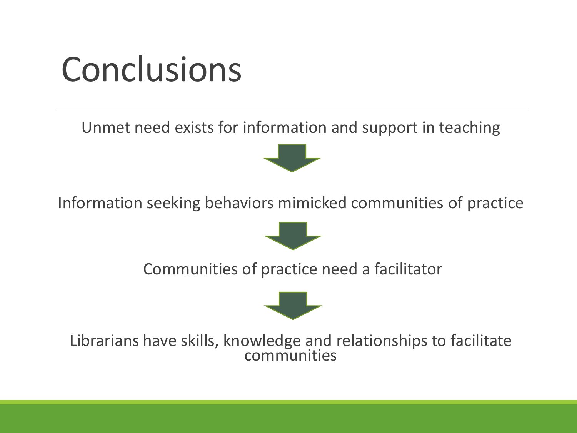### Conclusions

Unmet need exists for information and support in teaching



Information seeking behaviors mimicked communities of practice



Communities of practice need a facilitator



Librarians have skills, knowledge and relationships to facilitate communities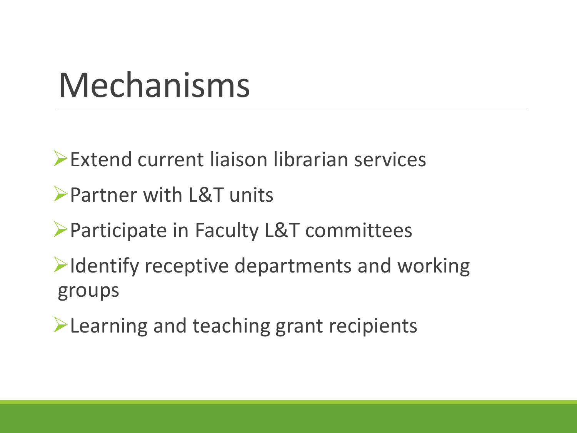### Mechanisms

Extend current liaison librarian services

- Partner with L&T units
- Participate in Faculty L&T committees
- $\blacktriangleright$ Identify receptive departments and working groups
- **Example 2 Figure 2 Figure 2 Figure 2 Figure 2 Figure 2 Figure 2 Figure 2 Figure 2 Figure 2 Figure 2 Figure 2 Figure 2 Figure 2 Figure 2 Figure 2 Figure 2 Figure 2 Figure 2 Figure 2 Figure 2 Figure 2 Figure 2 Figure 2 Figu**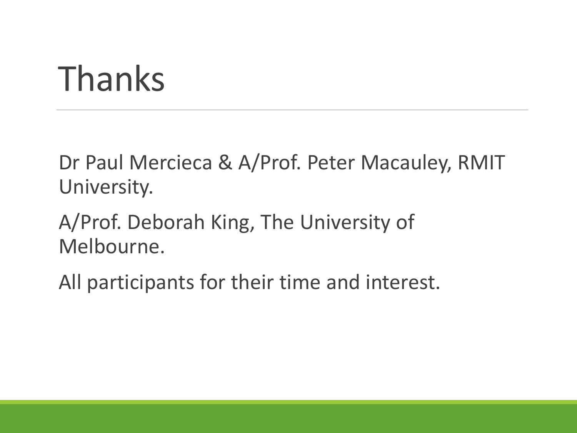### Thanks

Dr Paul Mercieca & A/Prof. Peter Macauley, RMIT University.

A/Prof. Deborah King, The University of Melbourne.

All participants for their time and interest.